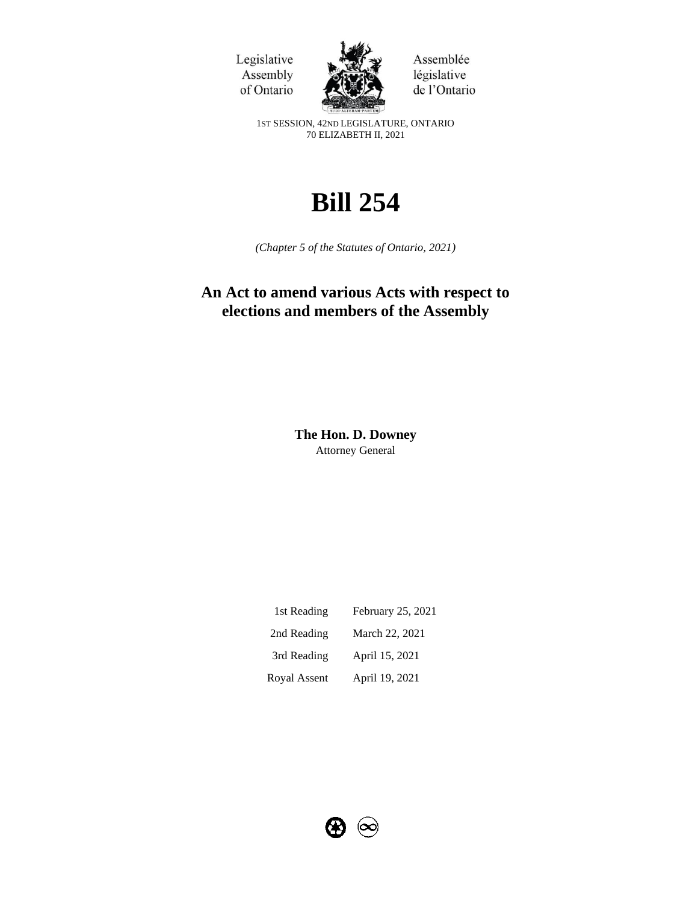Legislative Assembly of Ontario



Assemblée législative de l'Ontario

1ST SESSION, 42ND LEGISLATURE, ONTARIO 70 ELIZABETH II, 2021

# **Bill 254**

*(Chapter 5 of the Statutes of Ontario, 2021)*

## **An Act to amend various Acts with respect to elections and members of the Assembly**

**The Hon. D. Downey**  Attorney General

| 1st Reading  | February 25, 2021 |
|--------------|-------------------|
| 2nd Reading  | March 22, 2021    |
| 3rd Reading  | April 15, 2021    |
| Royal Assent | April 19, 2021    |

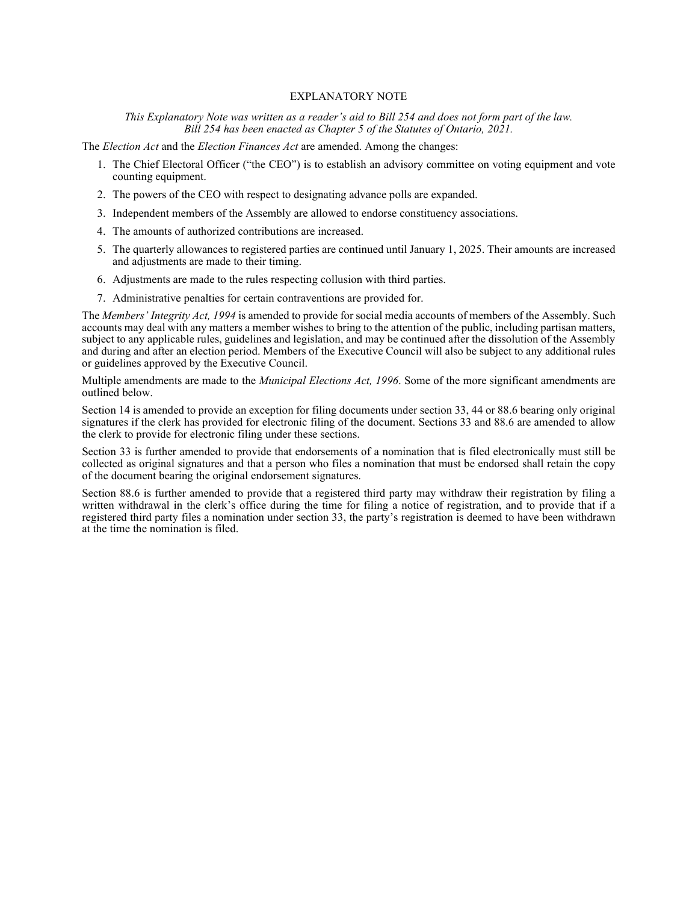#### EXPLANATORY NOTE

#### *This Explanatory Note was written as a reader's aid to Bill 254 and does not form part of the law. Bill 254 has been enacted as Chapter 5 of the Statutes of Ontario, 2021.*

The *Election Act* and the *Election Finances Act* are amended. Among the changes:

- 1. The Chief Electoral Officer ("the CEO") is to establish an advisory committee on voting equipment and vote counting equipment.
- 2. The powers of the CEO with respect to designating advance polls are expanded.
- 3. Independent members of the Assembly are allowed to endorse constituency associations.
- 4. The amounts of authorized contributions are increased.
- 5. The quarterly allowances to registered parties are continued until January 1, 2025. Their amounts are increased and adjustments are made to their timing.
- 6. Adjustments are made to the rules respecting collusion with third parties.
- 7. Administrative penalties for certain contraventions are provided for.

The *Members' Integrity Act, 1994* is amended to provide for social media accounts of members of the Assembly. Such accounts may deal with any matters a member wishes to bring to the attention of the public, including partisan matters, subject to any applicable rules, guidelines and legislation, and may be continued after the dissolution of the Assembly and during and after an election period. Members of the Executive Council will also be subject to any additional rules or guidelines approved by the Executive Council.

Multiple amendments are made to the *Municipal Elections Act, 1996*. Some of the more significant amendments are outlined below.

Section 14 is amended to provide an exception for filing documents under section 33, 44 or 88.6 bearing only original signatures if the clerk has provided for electronic filing of the document. Sections 33 and 88.6 are amended to allow the clerk to provide for electronic filing under these sections.

Section 33 is further amended to provide that endorsements of a nomination that is filed electronically must still be collected as original signatures and that a person who files a nomination that must be endorsed shall retain the copy of the document bearing the original endorsement signatures.

Section 88.6 is further amended to provide that a registered third party may withdraw their registration by filing a written withdrawal in the clerk's office during the time for filing a notice of registration, and to provide that if a registered third party files a nomination under section 33, the party's registration is deemed to have been withdrawn at the time the nomination is filed.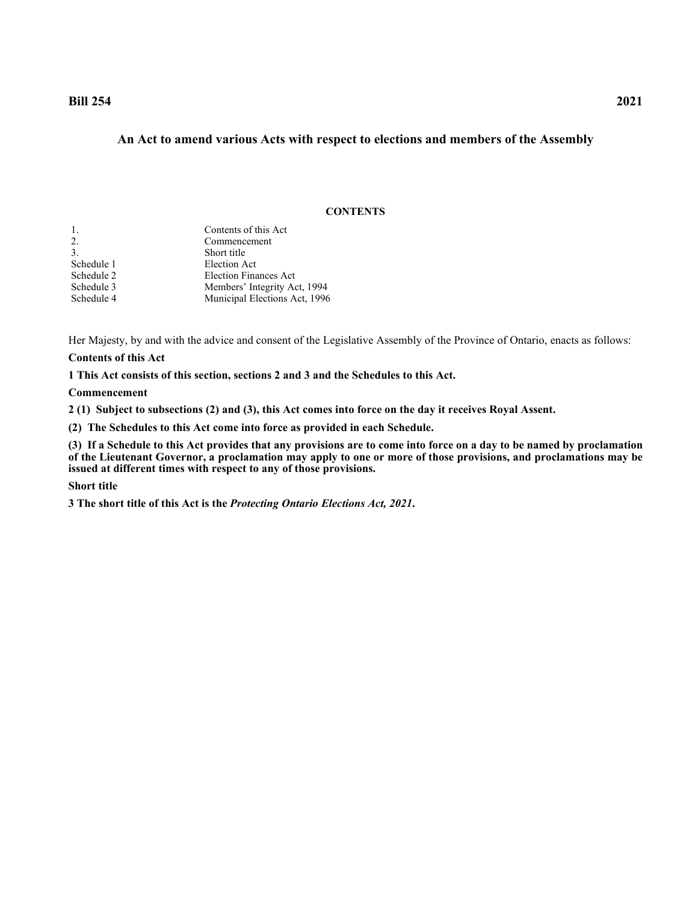## **Bill 254 2021**

## **An Act to amend various Acts with respect to elections and members of the Assembly**

#### **CONTENTS**

| 1.         | Contents of this Act          |
|------------|-------------------------------|
| 2.         | Commencement                  |
| 3.         | Short title                   |
| Schedule 1 | Election Act                  |
| Schedule 2 | <b>Election Finances Act</b>  |
| Schedule 3 | Members' Integrity Act, 1994  |
| Schedule 4 | Municipal Elections Act, 1996 |
|            |                               |

Her Majesty, by and with the advice and consent of the Legislative Assembly of the Province of Ontario, enacts as follows:

## **Contents of this Act**

<span id="page-2-0"></span>**1 This Act consists of this section, sections 2 and 3 and the Schedules to this Act.**

#### **Commencement**

<span id="page-2-1"></span>**2 (1) Subject to subsections (2) and (3), this Act comes into force on the day it receives Royal Assent.**

**(2) The Schedules to this Act come into force as provided in each Schedule.**

**(3) If a Schedule to this Act provides that any provisions are to come into force on a day to be named by proclamation of the Lieutenant Governor, a proclamation may apply to one or more of those provisions, and proclamations may be issued at different times with respect to any of those provisions.**

#### **Short title**

<span id="page-2-2"></span>**3 The short title of this Act is the** *Protecting Ontario Elections Act, 2021***.**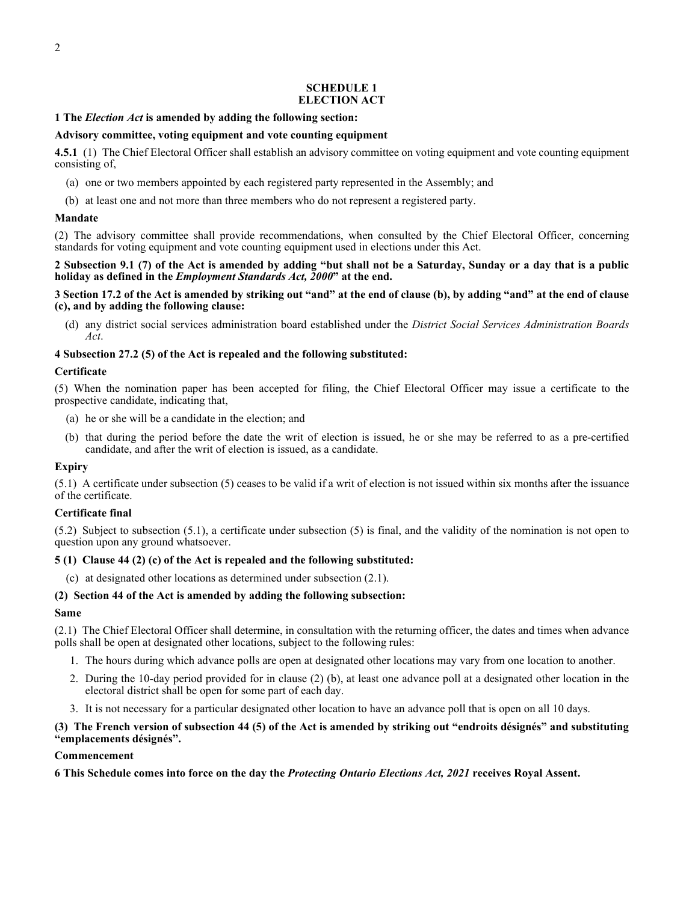#### **SCHEDULE 1 ELECTION ACT**

#### <span id="page-3-0"></span>**1 The** *Election Act* **is amended by adding the following section:**

#### **Advisory committee, voting equipment and vote counting equipment**

**4.5.1** (1) The Chief Electoral Officer shall establish an advisory committee on voting equipment and vote counting equipment consisting of,

- (a) one or two members appointed by each registered party represented in the Assembly; and
- (b) at least one and not more than three members who do not represent a registered party.

#### **Mandate**

(2) The advisory committee shall provide recommendations, when consulted by the Chief Electoral Officer, concerning standards for voting equipment and vote counting equipment used in elections under this Act.

**2 Subsection 9.1 (7) of the Act is amended by adding "but shall not be a Saturday, Sunday or a day that is a public holiday as defined in the** *Employment Standards Act, 2000***" at the end.**

**3 Section 17.2 of the Act is amended by striking out "and" at the end of clause (b), by adding "and" at the end of clause (c), and by adding the following clause:**

(d) any district social services administration board established under the *District Social Services Administration Boards Act*.

## **4 Subsection 27.2 (5) of the Act is repealed and the following substituted:**

#### **Certificate**

(5) When the nomination paper has been accepted for filing, the Chief Electoral Officer may issue a certificate to the prospective candidate, indicating that,

- (a) he or she will be a candidate in the election; and
- (b) that during the period before the date the writ of election is issued, he or she may be referred to as a pre-certified candidate, and after the writ of election is issued, as a candidate.

## **Expiry**

(5.1) A certificate under subsection (5) ceases to be valid if a writ of election is not issued within six months after the issuance of the certificate.

## **Certificate final**

(5.2) Subject to subsection (5.1), a certificate under subsection (5) is final, and the validity of the nomination is not open to question upon any ground whatsoever.

## **5 (1) Clause 44 (2) (c) of the Act is repealed and the following substituted:**

(c) at designated other locations as determined under subsection (2.1).

## **(2) Section 44 of the Act is amended by adding the following subsection:**

#### **Same**

(2.1) The Chief Electoral Officer shall determine, in consultation with the returning officer, the dates and times when advance polls shall be open at designated other locations, subject to the following rules:

- 1. The hours during which advance polls are open at designated other locations may vary from one location to another.
- 2. During the 10-day period provided for in clause (2) (b), at least one advance poll at a designated other location in the electoral district shall be open for some part of each day.
- 3. It is not necessary for a particular designated other location to have an advance poll that is open on all 10 days.

#### **(3) The French version of subsection 44 (5) of the Act is amended by striking out "endroits désignés" and substituting "emplacements désignés".**

#### **Commencement**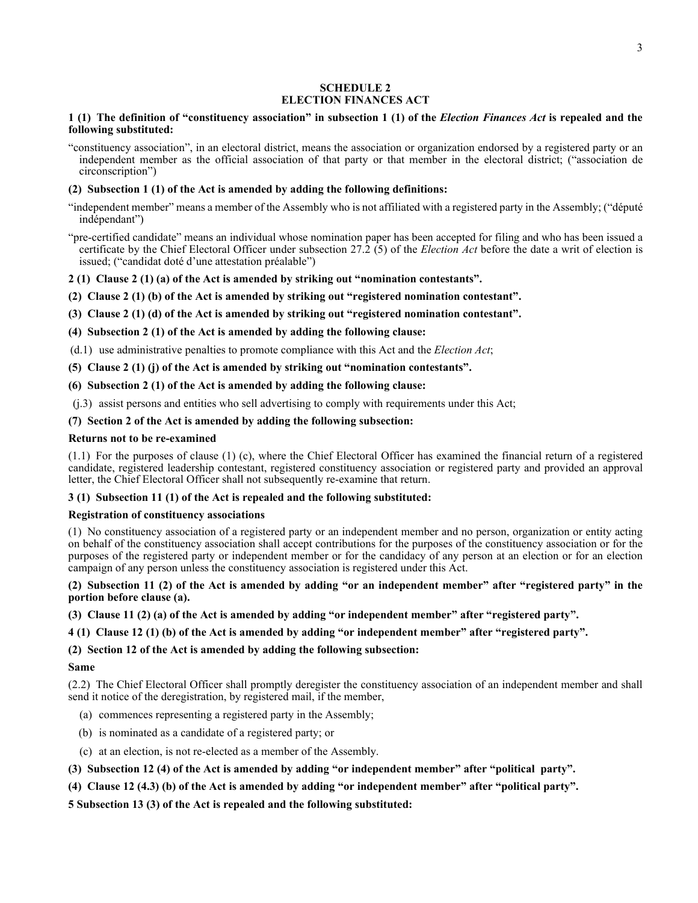#### **SCHEDULE 2 ELECTION FINANCES ACT**

#### <span id="page-4-0"></span>**1 (1) The definition of "constituency association" in subsection 1 (1) of the** *Election Finances Act* **is repealed and the following substituted:**

"constituency association", in an electoral district, means the association or organization endorsed by a registered party or an independent member as the official association of that party or that member in the electoral district; ("association de circonscription")

## **(2) Subsection 1 (1) of the Act is amended by adding the following definitions:**

- "independent member" means a member of the Assembly who is not affiliated with a registered party in the Assembly; ("député indépendant")
- "pre-certified candidate" means an individual whose nomination paper has been accepted for filing and who has been issued a certificate by the Chief Electoral Officer under subsection 27.2 (5) of the *Election Act* before the date a writ of election is issued; ("candidat doté d'une attestation préalable")

## **2 (1) Clause 2 (1) (a) of the Act is amended by striking out "nomination contestants".**

- **(2) Clause 2 (1) (b) of the Act is amended by striking out "registered nomination contestant".**
- **(3) Clause 2 (1) (d) of the Act is amended by striking out "registered nomination contestant".**
- **(4) Subsection 2 (1) of the Act is amended by adding the following clause:**
- (d.1) use administrative penalties to promote compliance with this Act and the *Election Act*;
- **(5) Clause 2 (1) (j) of the Act is amended by striking out "nomination contestants".**

## **(6) Subsection 2 (1) of the Act is amended by adding the following clause:**

(j.3) assist persons and entities who sell advertising to comply with requirements under this Act;

## **(7) Section 2 of the Act is amended by adding the following subsection:**

## **Returns not to be re-examined**

(1.1) For the purposes of clause (1) (c), where the Chief Electoral Officer has examined the financial return of a registered candidate, registered leadership contestant, registered constituency association or registered party and provided an approval letter, the Chief Electoral Officer shall not subsequently re-examine that return.

## **3 (1) Subsection 11 (1) of the Act is repealed and the following substituted:**

## **Registration of constituency associations**

(1) No constituency association of a registered party or an independent member and no person, organization or entity acting on behalf of the constituency association shall accept contributions for the purposes of the constituency association or for the purposes of the registered party or independent member or for the candidacy of any person at an election or for an election campaign of any person unless the constituency association is registered under this Act.

#### **(2) Subsection 11 (2) of the Act is amended by adding "or an independent member" after "registered party" in the portion before clause (a).**

**(3) Clause 11 (2) (a) of the Act is amended by adding "or independent member" after "registered party".**

## **4 (1) Clause 12 (1) (b) of the Act is amended by adding "or independent member" after "registered party".**

## **(2) Section 12 of the Act is amended by adding the following subsection:**

## **Same**

(2.2) The Chief Electoral Officer shall promptly deregister the constituency association of an independent member and shall send it notice of the deregistration, by registered mail, if the member,

- (a) commences representing a registered party in the Assembly;
- (b) is nominated as a candidate of a registered party; or
- (c) at an election, is not re-elected as a member of the Assembly.

## **(3) Subsection 12 (4) of the Act is amended by adding "or independent member" after "political party".**

**(4) Clause 12 (4.3) (b) of the Act is amended by adding "or independent member" after "political party".**

**5 Subsection 13 (3) of the Act is repealed and the following substituted:**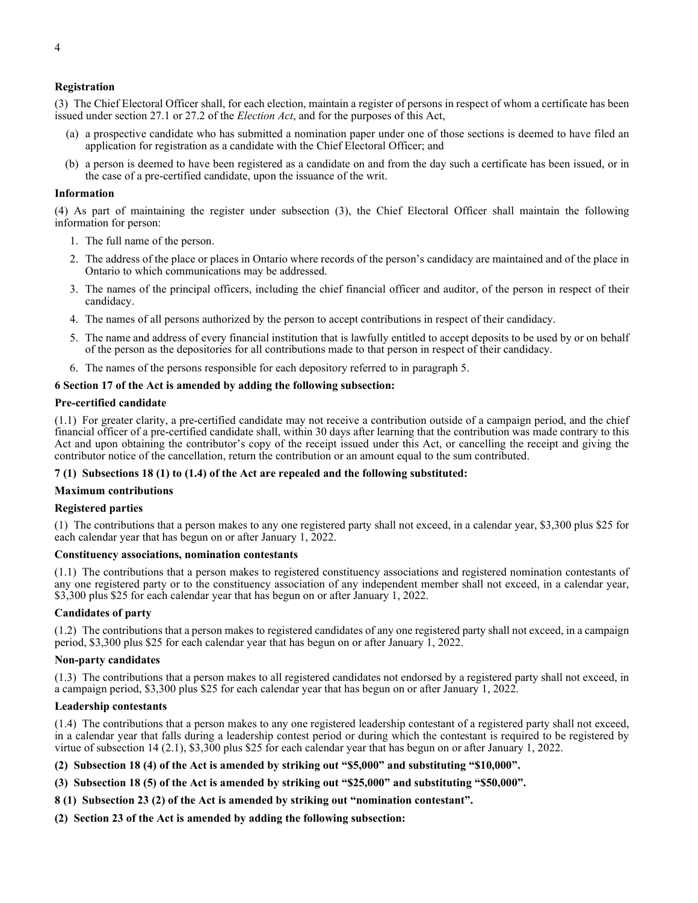#### **Registration**

(3) The Chief Electoral Officer shall, for each election, maintain a register of persons in respect of whom a certificate has been issued under section 27.1 or 27.2 of the *Election Act*, and for the purposes of this Act,

- (a) a prospective candidate who has submitted a nomination paper under one of those sections is deemed to have filed an application for registration as a candidate with the Chief Electoral Officer; and
- (b) a person is deemed to have been registered as a candidate on and from the day such a certificate has been issued, or in the case of a pre-certified candidate, upon the issuance of the writ.

#### **Information**

(4) As part of maintaining the register under subsection (3), the Chief Electoral Officer shall maintain the following information for person:

- 1. The full name of the person.
- 2. The address of the place or places in Ontario where records of the person's candidacy are maintained and of the place in Ontario to which communications may be addressed.
- 3. The names of the principal officers, including the chief financial officer and auditor, of the person in respect of their candidacy.
- 4. The names of all persons authorized by the person to accept contributions in respect of their candidacy.
- 5. The name and address of every financial institution that is lawfully entitled to accept deposits to be used by or on behalf of the person as the depositories for all contributions made to that person in respect of their candidacy.
- 6. The names of the persons responsible for each depository referred to in paragraph 5.

#### **6 Section 17 of the Act is amended by adding the following subsection:**

#### **Pre-certified candidate**

(1.1) For greater clarity, a pre-certified candidate may not receive a contribution outside of a campaign period, and the chief financial officer of a pre-certified candidate shall, within 30 days after learning that the contribution was made contrary to this Act and upon obtaining the contributor's copy of the receipt issued under this Act, or cancelling the receipt and giving the contributor notice of the cancellation, return the contribution or an amount equal to the sum contributed.

#### **7 (1) Subsections 18 (1) to (1.4) of the Act are repealed and the following substituted:**

#### **Maximum contributions**

#### **Registered parties**

(1) The contributions that a person makes to any one registered party shall not exceed, in a calendar year, \$3,300 plus \$25 for each calendar year that has begun on or after January 1, 2022.

#### **Constituency associations, nomination contestants**

(1.1) The contributions that a person makes to registered constituency associations and registered nomination contestants of any one registered party or to the constituency association of any independent member shall not exceed, in a calendar year, \$3,300 plus \$25 for each calendar year that has begun on or after January 1, 2022.

#### **Candidates of party**

(1.2) The contributions that a person makes to registered candidates of any one registered party shall not exceed, in a campaign period, \$3,300 plus \$25 for each calendar year that has begun on or after January 1, 2022.

#### **Non-party candidates**

(1.3) The contributions that a person makes to all registered candidates not endorsed by a registered party shall not exceed, in a campaign period, \$3,300 plus \$25 for each calendar year that has begun on or after January 1, 2022.

#### **Leadership contestants**

(1.4) The contributions that a person makes to any one registered leadership contestant of a registered party shall not exceed, in a calendar year that falls during a leadership contest period or during which the contestant is required to be registered by virtue of subsection 14 (2.1), \$3,300 plus \$25 for each calendar year that has begun on or after January 1, 2022.

**(2) Subsection 18 (4) of the Act is amended by striking out "\$5,000" and substituting "\$10,000".**

#### **(3) Subsection 18 (5) of the Act is amended by striking out "\$25,000" and substituting "\$50,000".**

- **8 (1) Subsection 23 (2) of the Act is amended by striking out "nomination contestant".**
- **(2) Section 23 of the Act is amended by adding the following subsection:**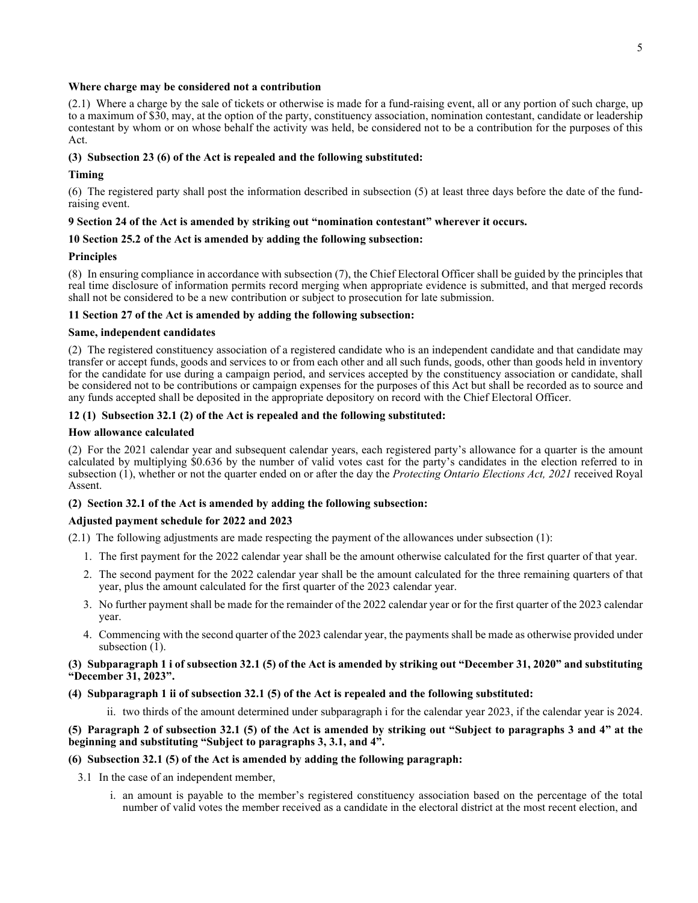#### **Where charge may be considered not a contribution**

(2.1) Where a charge by the sale of tickets or otherwise is made for a fund-raising event, all or any portion of such charge, up to a maximum of \$30, may, at the option of the party, constituency association, nomination contestant, candidate or leadership contestant by whom or on whose behalf the activity was held, be considered not to be a contribution for the purposes of this Act.

#### **(3) Subsection 23 (6) of the Act is repealed and the following substituted:**

#### **Timing**

(6) The registered party shall post the information described in subsection (5) at least three days before the date of the fundraising event.

#### **9 Section 24 of the Act is amended by striking out "nomination contestant" wherever it occurs.**

#### **10 Section 25.2 of the Act is amended by adding the following subsection:**

#### **Principles**

(8) In ensuring compliance in accordance with subsection (7), the Chief Electoral Officer shall be guided by the principles that real time disclosure of information permits record merging when appropriate evidence is submitted, and that merged records shall not be considered to be a new contribution or subject to prosecution for late submission.

#### **11 Section 27 of the Act is amended by adding the following subsection:**

#### **Same, independent candidates**

(2) The registered constituency association of a registered candidate who is an independent candidate and that candidate may transfer or accept funds, goods and services to or from each other and all such funds, goods, other than goods held in inventory for the candidate for use during a campaign period, and services accepted by the constituency association or candidate, shall be considered not to be contributions or campaign expenses for the purposes of this Act but shall be recorded as to source and any funds accepted shall be deposited in the appropriate depository on record with the Chief Electoral Officer.

#### **12 (1) Subsection 32.1 (2) of the Act is repealed and the following substituted:**

#### **How allowance calculated**

(2) For the 2021 calendar year and subsequent calendar years, each registered party's allowance for a quarter is the amount calculated by multiplying \$0.636 by the number of valid votes cast for the party's candidates in the election referred to in subsection (1), whether or not the quarter ended on or after the day the *Protecting Ontario Elections Act, 2021* received Royal Assent.

## **(2) Section 32.1 of the Act is amended by adding the following subsection:**

## **Adjusted payment schedule for 2022 and 2023**

(2.1) The following adjustments are made respecting the payment of the allowances under subsection (1):

- 1. The first payment for the 2022 calendar year shall be the amount otherwise calculated for the first quarter of that year.
- 2. The second payment for the 2022 calendar year shall be the amount calculated for the three remaining quarters of that year, plus the amount calculated for the first quarter of the 2023 calendar year.
- 3. No further payment shall be made for the remainder of the 2022 calendar year or for the first quarter of the 2023 calendar year.
- 4. Commencing with the second quarter of the 2023 calendar year, the payments shall be made as otherwise provided under subsection (1).

#### **(3) Subparagraph 1 i of subsection 32.1 (5) of the Act is amended by striking out "December 31, 2020" and substituting "December 31, 2023".**

#### **(4) Subparagraph 1 ii of subsection 32.1 (5) of the Act is repealed and the following substituted:**

ii. two thirds of the amount determined under subparagraph i for the calendar year 2023, if the calendar year is 2024.

## **(5) Paragraph 2 of subsection 32.1 (5) of the Act is amended by striking out "Subject to paragraphs 3 and 4" at the beginning and substituting "Subject to paragraphs 3, 3.1, and 4".**

#### **(6) Subsection 32.1 (5) of the Act is amended by adding the following paragraph:**

3.1 In the case of an independent member,

i. an amount is payable to the member's registered constituency association based on the percentage of the total number of valid votes the member received as a candidate in the electoral district at the most recent election, and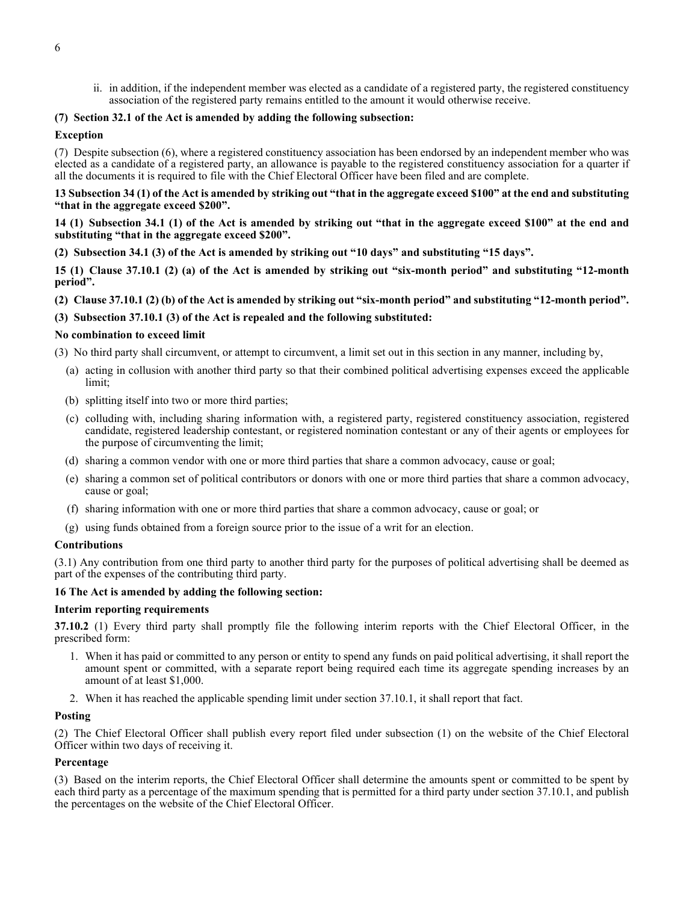ii. in addition, if the independent member was elected as a candidate of a registered party, the registered constituency association of the registered party remains entitled to the amount it would otherwise receive.

#### **(7) Section 32.1 of the Act is amended by adding the following subsection:**

#### **Exception**

(7) Despite subsection (6), where a registered constituency association has been endorsed by an independent member who was elected as a candidate of a registered party, an allowance is payable to the registered constituency association for a quarter if all the documents it is required to file with the Chief Electoral Officer have been filed and are complete.

**13 Subsection 34 (1) of the Act is amended by striking out "that in the aggregate exceed \$100" at the end and substituting "that in the aggregate exceed \$200".**

**14 (1) Subsection 34.1 (1) of the Act is amended by striking out "that in the aggregate exceed \$100" at the end and substituting "that in the aggregate exceed \$200".**

#### **(2) Subsection 34.1 (3) of the Act is amended by striking out "10 days" and substituting "15 days".**

**15 (1) Clause 37.10.1 (2) (a) of the Act is amended by striking out "six-month period" and substituting "12-month period".**

**(2) Clause 37.10.1 (2) (b) of the Act is amended by striking out "six-month period" and substituting "12-month period".**

#### **(3) Subsection 37.10.1 (3) of the Act is repealed and the following substituted:**

#### **No combination to exceed limit**

(3) No third party shall circumvent, or attempt to circumvent, a limit set out in this section in any manner, including by,

- (a) acting in collusion with another third party so that their combined political advertising expenses exceed the applicable limit;
- (b) splitting itself into two or more third parties;
- (c) colluding with, including sharing information with, a registered party, registered constituency association, registered candidate, registered leadership contestant, or registered nomination contestant or any of their agents or employees for the purpose of circumventing the limit;
- (d) sharing a common vendor with one or more third parties that share a common advocacy, cause or goal;
- (e) sharing a common set of political contributors or donors with one or more third parties that share a common advocacy, cause or goal;
- (f) sharing information with one or more third parties that share a common advocacy, cause or goal; or
- (g) using funds obtained from a foreign source prior to the issue of a writ for an election.

#### **Contributions**

(3.1) Any contribution from one third party to another third party for the purposes of political advertising shall be deemed as part of the expenses of the contributing third party.

#### **16 The Act is amended by adding the following section:**

#### **Interim reporting requirements**

**37.10.2** (1) Every third party shall promptly file the following interim reports with the Chief Electoral Officer, in the prescribed form:

- 1. When it has paid or committed to any person or entity to spend any funds on paid political advertising, it shall report the amount spent or committed, with a separate report being required each time its aggregate spending increases by an amount of at least \$1,000.
- 2. When it has reached the applicable spending limit under section 37.10.1, it shall report that fact.

#### **Posting**

(2) The Chief Electoral Officer shall publish every report filed under subsection (1) on the website of the Chief Electoral Officer within two days of receiving it.

#### **Percentage**

(3) Based on the interim reports, the Chief Electoral Officer shall determine the amounts spent or committed to be spent by each third party as a percentage of the maximum spending that is permitted for a third party under section 37.10.1, and publish the percentages on the website of the Chief Electoral Officer.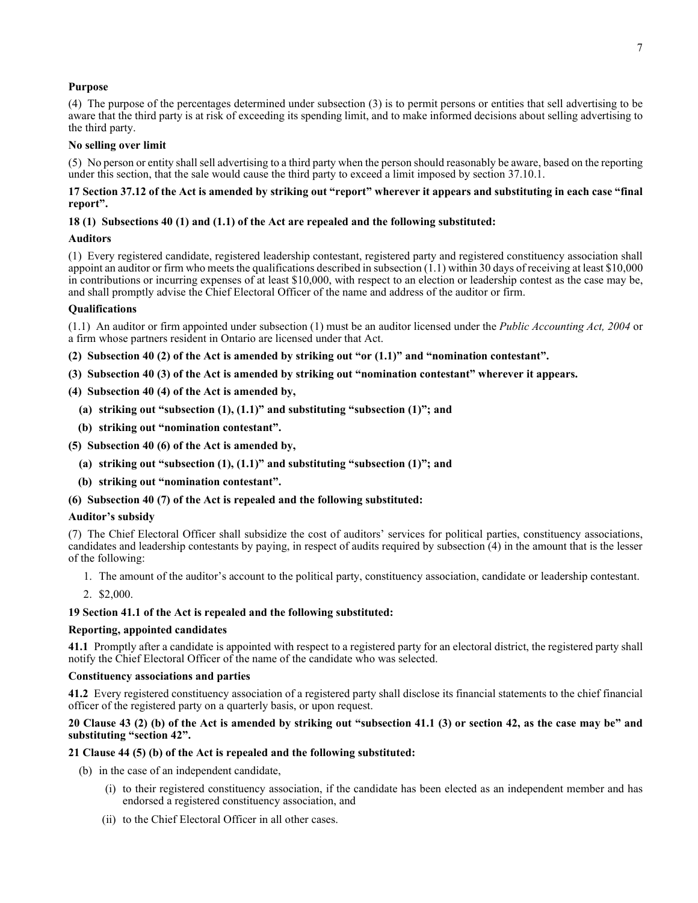#### **Purpose**

(4) The purpose of the percentages determined under subsection (3) is to permit persons or entities that sell advertising to be aware that the third party is at risk of exceeding its spending limit, and to make informed decisions about selling advertising to the third party.

#### **No selling over limit**

(5) No person or entity shall sell advertising to a third party when the person should reasonably be aware, based on the reporting under this section, that the sale would cause the third party to exceed a limit imposed by section 37.10.1.

#### **17 Section 37.12 of the Act is amended by striking out "report" wherever it appears and substituting in each case "final report".**

#### **18 (1) Subsections 40 (1) and (1.1) of the Act are repealed and the following substituted:**

#### **Auditors**

(1) Every registered candidate, registered leadership contestant, registered party and registered constituency association shall appoint an auditor or firm who meets the qualifications described in subsection (1.1) within 30 days of receiving at least \$10,000 in contributions or incurring expenses of at least \$10,000, with respect to an election or leadership contest as the case may be, and shall promptly advise the Chief Electoral Officer of the name and address of the auditor or firm.

#### **Qualifications**

(1.1) An auditor or firm appointed under subsection (1) must be an auditor licensed under the *Public Accounting Act, 2004* or a firm whose partners resident in Ontario are licensed under that Act.

- **(2) Subsection 40 (2) of the Act is amended by striking out "or (1.1)" and "nomination contestant".**
- **(3) Subsection 40 (3) of the Act is amended by striking out "nomination contestant" wherever it appears.**
- **(4) Subsection 40 (4) of the Act is amended by,**
	- **(a) striking out "subsection (1), (1.1)" and substituting "subsection (1)"; and**
	- **(b) striking out "nomination contestant".**
- **(5) Subsection 40 (6) of the Act is amended by,**
	- **(a) striking out "subsection (1), (1.1)" and substituting "subsection (1)"; and**
	- **(b) striking out "nomination contestant".**

#### **(6) Subsection 40 (7) of the Act is repealed and the following substituted:**

#### **Auditor's subsidy**

(7) The Chief Electoral Officer shall subsidize the cost of auditors' services for political parties, constituency associations, candidates and leadership contestants by paying, in respect of audits required by subsection (4) in the amount that is the lesser of the following:

- 1. The amount of the auditor's account to the political party, constituency association, candidate or leadership contestant.
- 2. \$2,000.

#### **19 Section 41.1 of the Act is repealed and the following substituted:**

#### **Reporting, appointed candidates**

**41.1** Promptly after a candidate is appointed with respect to a registered party for an electoral district, the registered party shall notify the Chief Electoral Officer of the name of the candidate who was selected.

#### **Constituency associations and parties**

**41.2** Every registered constituency association of a registered party shall disclose its financial statements to the chief financial officer of the registered party on a quarterly basis, or upon request.

#### **20 Clause 43 (2) (b) of the Act is amended by striking out "subsection 41.1 (3) or section 42, as the case may be" and substituting "section 42".**

#### **21 Clause 44 (5) (b) of the Act is repealed and the following substituted:**

- (b) in the case of an independent candidate,
	- (i) to their registered constituency association, if the candidate has been elected as an independent member and has endorsed a registered constituency association, and
	- (ii) to the Chief Electoral Officer in all other cases.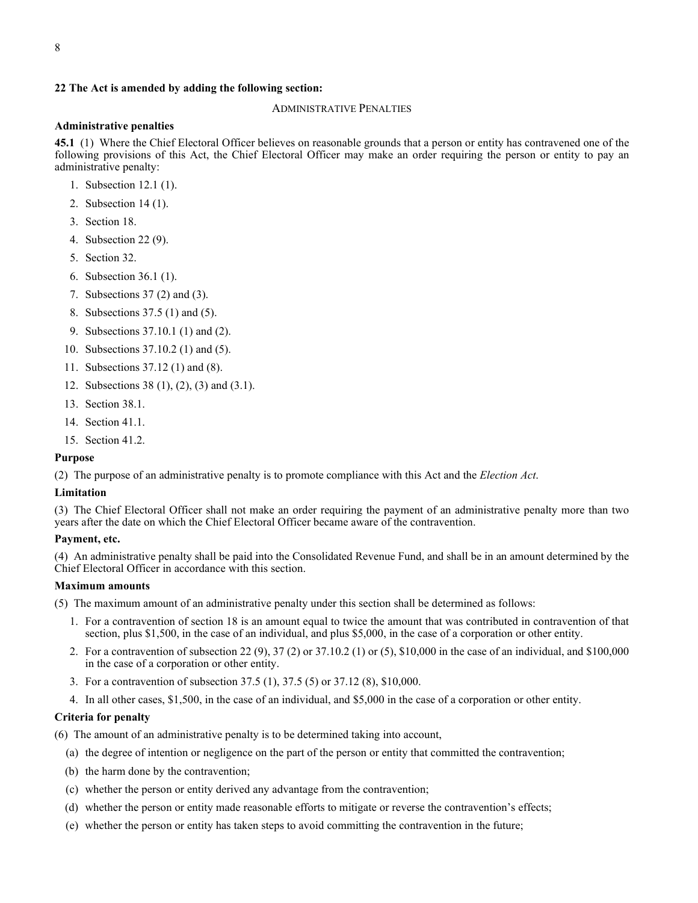#### **22 The Act is amended by adding the following section:**

#### ADMINISTRATIVE PENALTIES

#### **Administrative penalties**

**45.1** (1) Where the Chief Electoral Officer believes on reasonable grounds that a person or entity has contravened one of the following provisions of this Act, the Chief Electoral Officer may make an order requiring the person or entity to pay an administrative penalty:

- 1. Subsection 12.1 (1).
- 2. Subsection 14 (1).
- 3. Section 18.
- 4. Subsection 22 (9).
- 5. Section 32.
- 6. Subsection 36.1 (1).
- 7. Subsections 37 (2) and (3).
- 8. Subsections 37.5 (1) and (5).
- 9. Subsections 37.10.1 (1) and (2).
- 10. Subsections 37.10.2 (1) and (5).
- 11. Subsections 37.12 (1) and (8).
- 12. Subsections 38 (1), (2), (3) and (3.1).
- 13. Section 38.1.
- 14. Section 41.1.
- 15. Section 41.2.

#### **Purpose**

(2) The purpose of an administrative penalty is to promote compliance with this Act and the *Election Act*.

#### **Limitation**

(3) The Chief Electoral Officer shall not make an order requiring the payment of an administrative penalty more than two years after the date on which the Chief Electoral Officer became aware of the contravention.

#### **Payment, etc.**

(4) An administrative penalty shall be paid into the Consolidated Revenue Fund, and shall be in an amount determined by the Chief Electoral Officer in accordance with this section.

#### **Maximum amounts**

(5) The maximum amount of an administrative penalty under this section shall be determined as follows:

- 1. For a contravention of section 18 is an amount equal to twice the amount that was contributed in contravention of that section, plus \$1,500, in the case of an individual, and plus \$5,000, in the case of a corporation or other entity.
- 2. For a contravention of subsection 22 (9), 37 (2) or 37.10.2 (1) or (5), \$10,000 in the case of an individual, and \$100,000 in the case of a corporation or other entity.
- 3. For a contravention of subsection 37.5 (1), 37.5 (5) or 37.12 (8), \$10,000.
- 4. In all other cases, \$1,500, in the case of an individual, and \$5,000 in the case of a corporation or other entity.

#### **Criteria for penalty**

(6) The amount of an administrative penalty is to be determined taking into account,

- (a) the degree of intention or negligence on the part of the person or entity that committed the contravention;
- (b) the harm done by the contravention;
- (c) whether the person or entity derived any advantage from the contravention;
- (d) whether the person or entity made reasonable efforts to mitigate or reverse the contravention's effects;
- (e) whether the person or entity has taken steps to avoid committing the contravention in the future;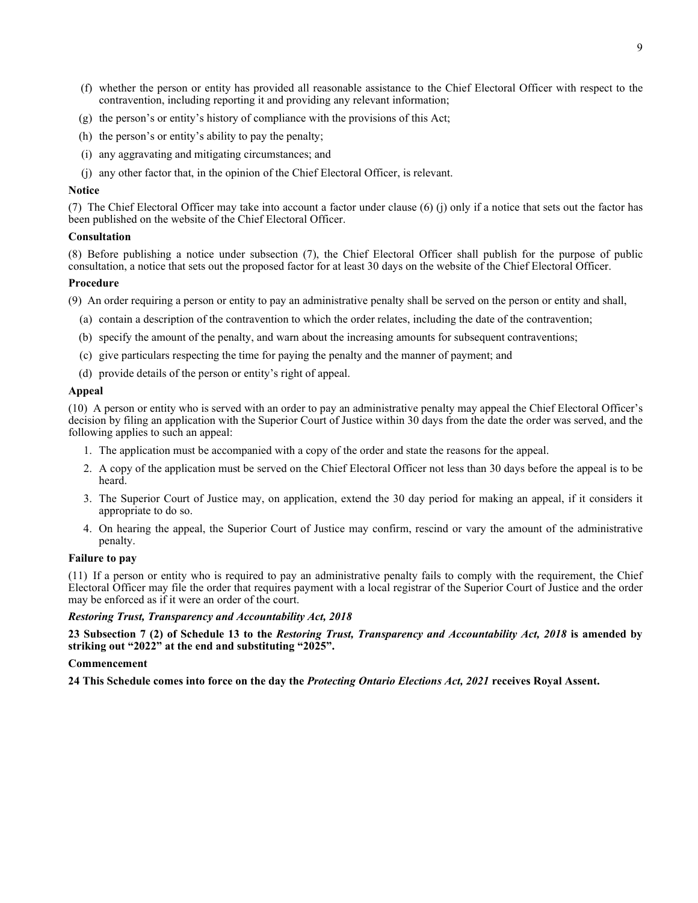- (f) whether the person or entity has provided all reasonable assistance to the Chief Electoral Officer with respect to the contravention, including reporting it and providing any relevant information;
- (g) the person's or entity's history of compliance with the provisions of this Act;
- (h) the person's or entity's ability to pay the penalty;
- (i) any aggravating and mitigating circumstances; and
- (j) any other factor that, in the opinion of the Chief Electoral Officer, is relevant.

#### **Notice**

(7) The Chief Electoral Officer may take into account a factor under clause (6) (j) only if a notice that sets out the factor has been published on the website of the Chief Electoral Officer.

#### **Consultation**

(8) Before publishing a notice under subsection (7), the Chief Electoral Officer shall publish for the purpose of public consultation, a notice that sets out the proposed factor for at least 30 days on the website of the Chief Electoral Officer.

#### **Procedure**

(9) An order requiring a person or entity to pay an administrative penalty shall be served on the person or entity and shall,

- (a) contain a description of the contravention to which the order relates, including the date of the contravention;
- (b) specify the amount of the penalty, and warn about the increasing amounts for subsequent contraventions;
- (c) give particulars respecting the time for paying the penalty and the manner of payment; and
- (d) provide details of the person or entity's right of appeal.

#### **Appeal**

(10) A person or entity who is served with an order to pay an administrative penalty may appeal the Chief Electoral Officer's decision by filing an application with the Superior Court of Justice within 30 days from the date the order was served, and the following applies to such an appeal:

- 1. The application must be accompanied with a copy of the order and state the reasons for the appeal.
- 2. A copy of the application must be served on the Chief Electoral Officer not less than 30 days before the appeal is to be heard.
- 3. The Superior Court of Justice may, on application, extend the 30 day period for making an appeal, if it considers it appropriate to do so.
- 4. On hearing the appeal, the Superior Court of Justice may confirm, rescind or vary the amount of the administrative penalty.

#### **Failure to pay**

(11) If a person or entity who is required to pay an administrative penalty fails to comply with the requirement, the Chief Electoral Officer may file the order that requires payment with a local registrar of the Superior Court of Justice and the order may be enforced as if it were an order of the court.

#### *Restoring Trust, Transparency and Accountability Act, 2018*

**23 Subsection 7 (2) of Schedule 13 to the** *Restoring Trust, Transparency and Accountability Act, 2018* **is amended by striking out "2022" at the end and substituting "2025".**

#### **Commencement**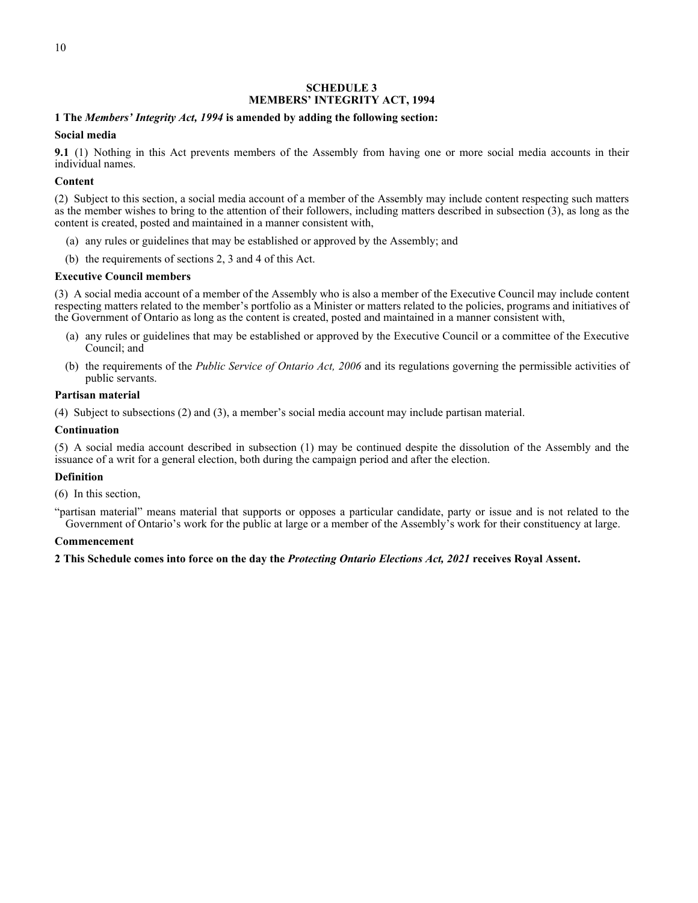#### **SCHEDULE 3 MEMBERS' INTEGRITY ACT, 1994**

#### <span id="page-11-0"></span>**1 The** *Members' Integrity Act, 1994* **is amended by adding the following section:**

#### **Social media**

**9.1** (1) Nothing in this Act prevents members of the Assembly from having one or more social media accounts in their individual names.

#### **Content**

(2) Subject to this section, a social media account of a member of the Assembly may include content respecting such matters as the member wishes to bring to the attention of their followers, including matters described in subsection (3), as long as the content is created, posted and maintained in a manner consistent with,

- (a) any rules or guidelines that may be established or approved by the Assembly; and
- (b) the requirements of sections 2, 3 and 4 of this Act.

#### **Executive Council members**

(3) A social media account of a member of the Assembly who is also a member of the Executive Council may include content respecting matters related to the member's portfolio as a Minister or matters related to the policies, programs and initiatives of the Government of Ontario as long as the content is created, posted and maintained in a manner consistent with,

- (a) any rules or guidelines that may be established or approved by the Executive Council or a committee of the Executive Council; and
- (b) the requirements of the *Public Service of Ontario Act, 2006* and its regulations governing the permissible activities of public servants.

#### **Partisan material**

(4) Subject to subsections (2) and (3), a member's social media account may include partisan material.

#### **Continuation**

(5) A social media account described in subsection (1) may be continued despite the dissolution of the Assembly and the issuance of a writ for a general election, both during the campaign period and after the election.

#### **Definition**

(6) In this section,

"partisan material" means material that supports or opposes a particular candidate, party or issue and is not related to the Government of Ontario's work for the public at large or a member of the Assembly's work for their constituency at large.

#### **Commencement**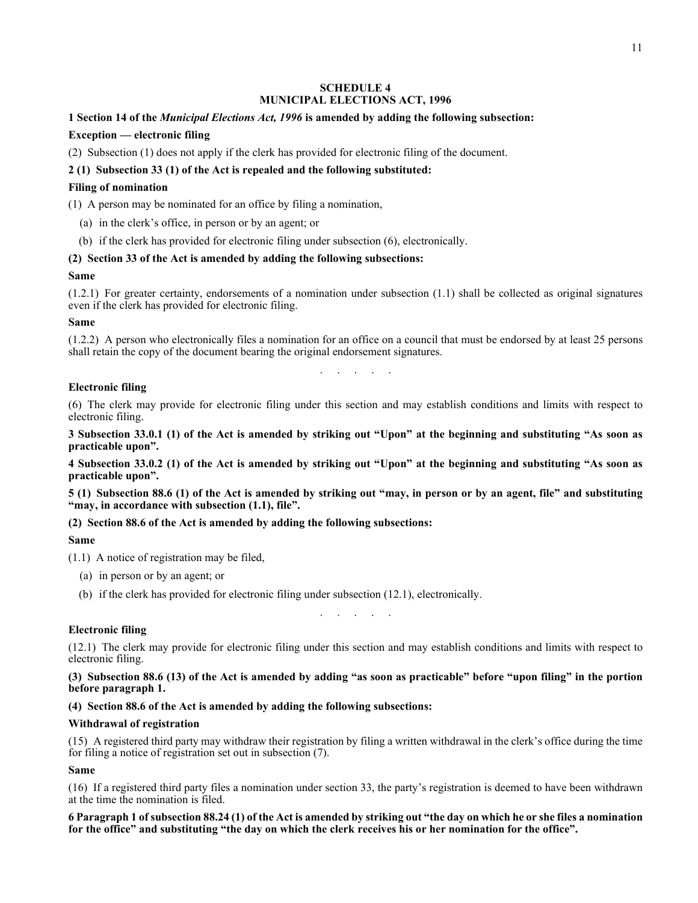#### **SCHEDULE 4 MUNICIPAL ELECTIONS ACT, 1996**

## <span id="page-12-0"></span>**1 Section 14 of the** *Municipal Elections Act, 1996* **is amended by adding the following subsection:**

## **Exception — electronic filing**

(2) Subsection (1) does not apply if the clerk has provided for electronic filing of the document.

## **2 (1) Subsection 33 (1) of the Act is repealed and the following substituted:**

## **Filing of nomination**

(1) A person may be nominated for an office by filing a nomination,

- (a) in the clerk's office, in person or by an agent; or
- (b) if the clerk has provided for electronic filing under subsection (6), electronically.

#### **(2) Section 33 of the Act is amended by adding the following subsections:**

#### **Same**

(1.2.1) For greater certainty, endorsements of a nomination under subsection (1.1) shall be collected as original signatures even if the clerk has provided for electronic filing.

#### **Same**

(1.2.2) A person who electronically files a nomination for an office on a council that must be endorsed by at least 25 persons shall retain the copy of the document bearing the original endorsement signatures.

. . . . . . . .

## **Electronic filing**

(6) The clerk may provide for electronic filing under this section and may establish conditions and limits with respect to electronic filing.

**3 Subsection 33.0.1 (1) of the Act is amended by striking out "Upon" at the beginning and substituting "As soon as practicable upon".**

**4 Subsection 33.0.2 (1) of the Act is amended by striking out "Upon" at the beginning and substituting "As soon as practicable upon".**

**5 (1) Subsection 88.6 (1) of the Act is amended by striking out "may, in person or by an agent, file" and substituting "may, in accordance with subsection (1.1), file".**

#### **(2) Section 88.6 of the Act is amended by adding the following subsections:**

## **Same**

(1.1) A notice of registration may be filed,

- (a) in person or by an agent; or
- (b) if the clerk has provided for electronic filing under subsection (12.1), electronically.

. . . . . .

## **Electronic filing**

(12.1) The clerk may provide for electronic filing under this section and may establish conditions and limits with respect to electronic filing.

#### **(3) Subsection 88.6 (13) of the Act is amended by adding "as soon as practicable" before "upon filing" in the portion before paragraph 1.**

## **(4) Section 88.6 of the Act is amended by adding the following subsections:**

#### **Withdrawal of registration**

(15) A registered third party may withdraw their registration by filing a written withdrawal in the clerk's office during the time for filing a notice of registration set out in subsection (7).

## **Same**

(16) If a registered third party files a nomination under section 33, the party's registration is deemed to have been withdrawn at the time the nomination is filed.

**6 Paragraph 1 of subsection 88.24 (1) of the Act is amended by striking out "the day on which he or she files a nomination for the office" and substituting "the day on which the clerk receives his or her nomination for the office".**